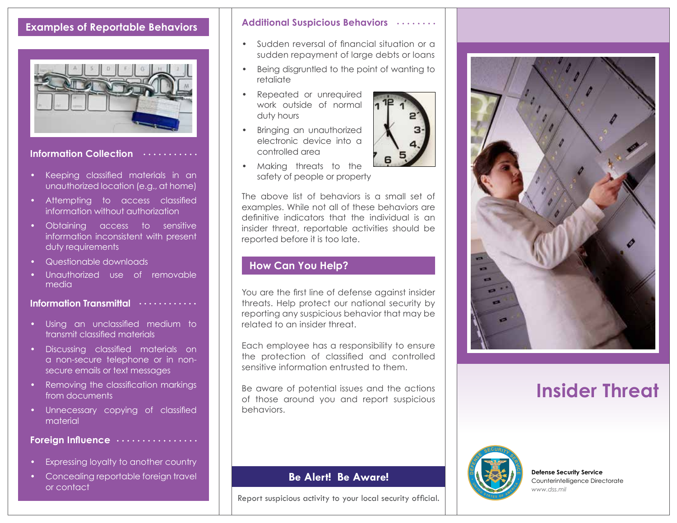## **Examples of Reportable Behaviors**



**Information Collection**

- Keeping classified materials in an unauthorized location (e.g., at home)
- Attempting to access classified information without authorization
- Obtaining access to sensitive information inconsistent with present duty requirements
- Questionable downloads
- Unauthorized use of removable media

**Information Transmittal**

- Using an unclassified medium to transmit classified materials
- Discussing classified materials on a non-secure telephone or in nonsecure emails or text messages
- Removing the classification markings from documents
- Unnecessary copying of classified material

#### **Foreign Influence**

- Expressing loyalty to another country
- Concealing reportable foreign travel or contact

#### **Additional Suspicious Behaviors**

- Sudden reversal of financial situation or a sudden repayment of large debts or loans
- Being disgruntled to the point of wanting to retaliate
- Repeated or unrequired work outside of normal duty hours
- Bringing an unauthorized electronic device into a controlled area
- Making threats to the safety of people or property

The above list of behaviors is a small set of examples. While not all of these behaviors are definitive indicators that the individual is an insider threat, reportable activities should be reported before it is too late.

#### **How Can You Help?**

You are the first line of defense against insider threats. Help protect our national security by reporting any suspicious behavior that may be related to an insider threat.

Each employee has a responsibility to ensure the protection of classified and controlled sensitive information entrusted to them.

Be aware of potential issues and the actions of those around you and report suspicious behaviors.

#### **Be Alert! Be Aware!**

Report suspicious activity to your local security official.



# **Insider Threat**



**Defense Security Service** Counterintelligence Directorate *www.dss.mil*